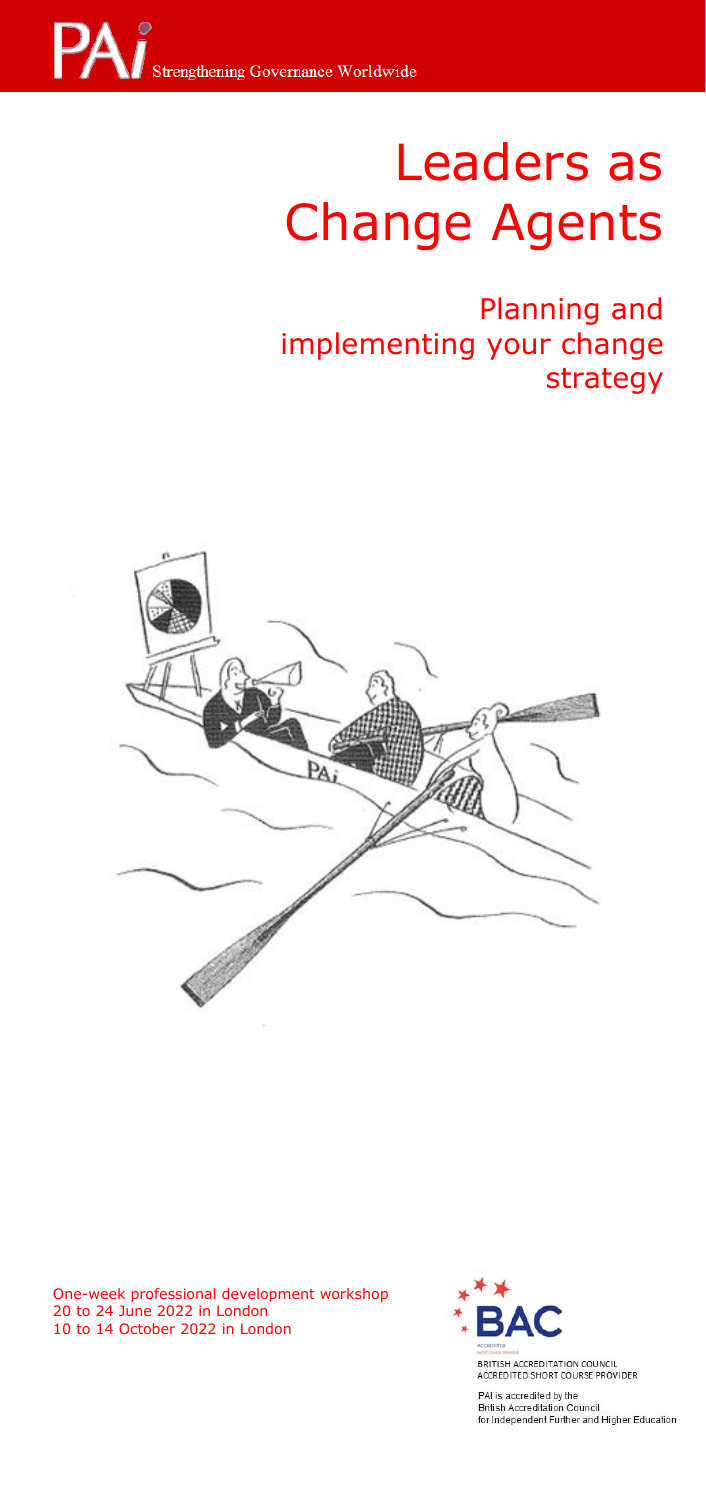

# **Strengthening Leaders as** Change Agents

**Internal and Planning and** implementing your change<br>strategy strategy



One-week professional development workshop 20 to 24 June 2022 in London 10 to 14 October 2022 in London



BRITISH ACCREDITATION COUNCIL<br>ACCREDITED SHORT COURSE PROVIDER

PAI is accredited by the British Accreditation Council<br>for Independent Further and Higher Education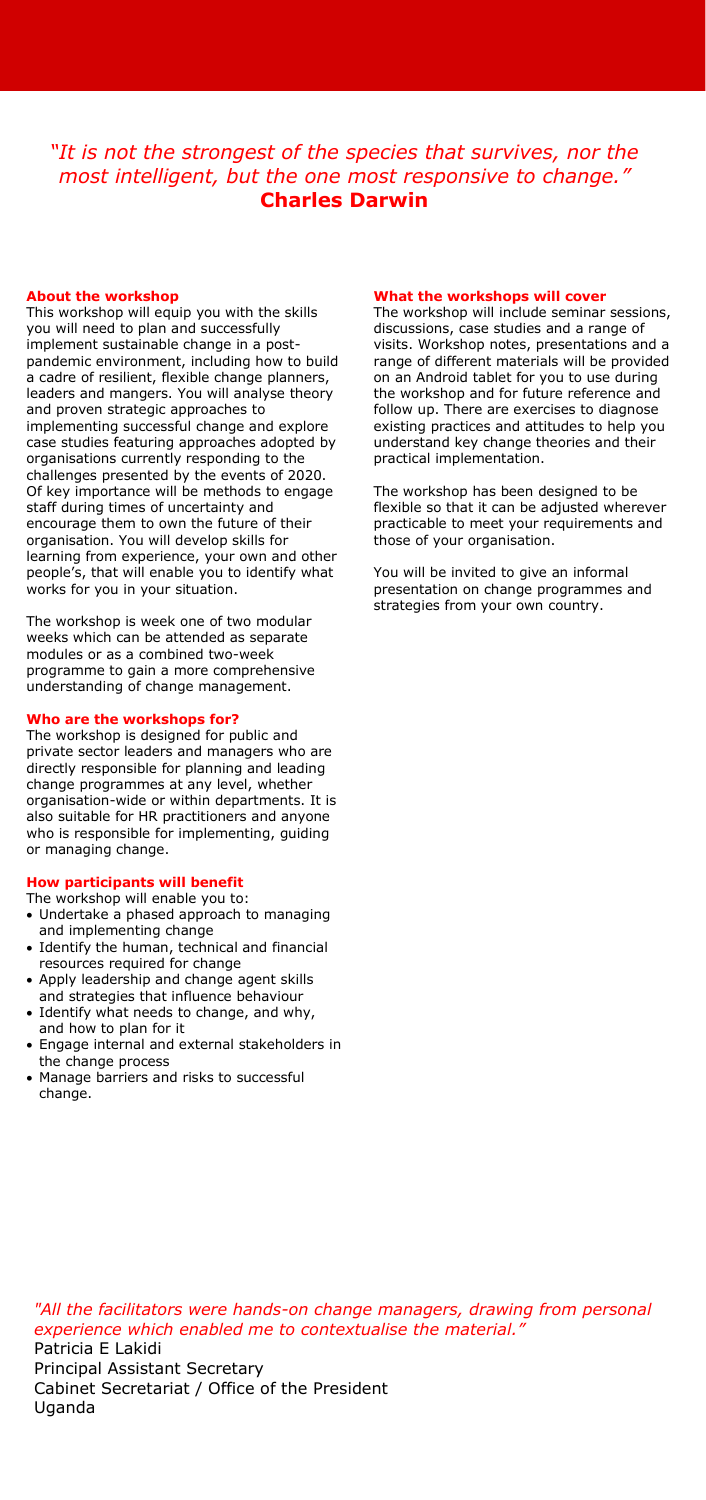## *"It is not the strongest of the species that survives, nor the most intelligent, but the one most responsive to change."* **Charles Darwin**

## **About the workshop**

This workshop will equip you with the skills you will need to plan and successfully implement sustainable change in a postpandemic environment, including how to build a cadre of resilient, flexible change planners, leaders and mangers. You will analyse theory and proven strategic approaches to implementing successful change and explore case studies featuring approaches adopted by organisations currently responding to the challenges presented by the events of 2020. Of key importance will be methods to engage staff during times of uncertainty and encourage them to own the future of their organisation. You will develop skills for learning from experience, your own and other people's, that will enable you to identify what works for you in your situation.

The workshop is week one of two modular weeks which can be attended as separate modules or as a combined two-week programme to gain a more comprehensive understanding of change management.

#### **Who are the workshops for?**

The workshop is designed for public and private sector leaders and managers who are directly responsible for planning and leading change programmes at any level, whether organisation-wide or within departments. It is also suitable for HR practitioners and anyone who is responsible for implementing, guiding or managing change.

## **How participants will benefit**

The workshop will enable you to:

- Undertake a phased approach to managing and implementing change
- Identify the human, technical and financial resources required for change
- Apply leadership and change agent skills and strategies that influence behaviour
- Identify what needs to change, and why, and how to plan for it
- Engage internal and external stakeholders in the change process
- Manage barriers and risks to successful change.

#### **What the workshops will cover**

The workshop will include seminar sessions, discussions, case studies and a range of visits. Workshop notes, presentations and a range of different materials will be provided on an Android tablet for you to use during the workshop and for future reference and follow up. There are exercises to diagnose existing practices and attitudes to help you understand key change theories and their practical implementation.

The workshop has been designed to be flexible so that it can be adjusted wherever practicable to meet your requirements and those of your organisation.

You will be invited to give an informal presentation on change programmes and strategies from your own country.

*"All the facilitators were hands-on change managers, drawing from personal experience which enabled me to contextualise the material."* Patricia E Lakidi Principal Assistant Secretary Cabinet Secretariat / Office of the President Uganda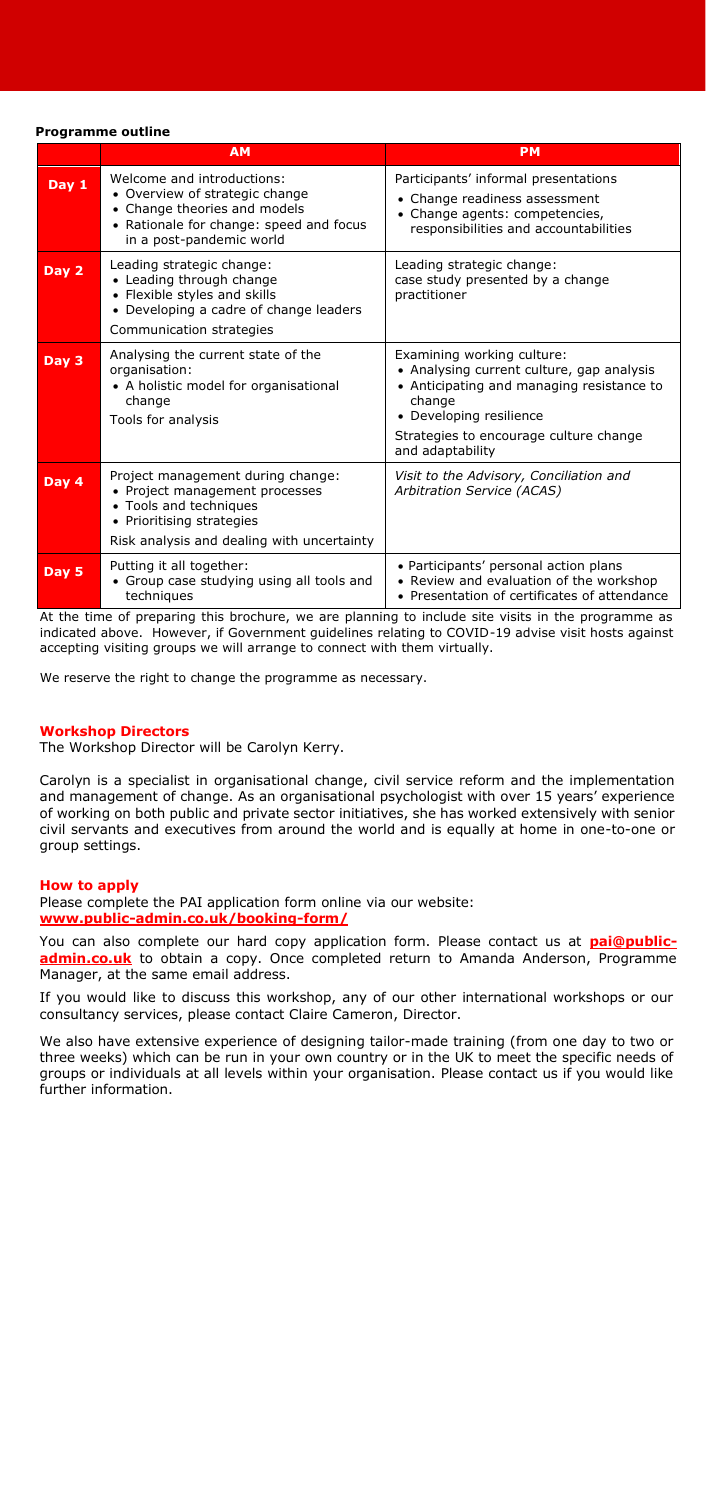#### **Programme outline**

|                  | <b>AM</b>                                                                                                                                                                | <b>PM</b>                                                                                                                                                                                                               |
|------------------|--------------------------------------------------------------------------------------------------------------------------------------------------------------------------|-------------------------------------------------------------------------------------------------------------------------------------------------------------------------------------------------------------------------|
| Day $1$          | Welcome and introductions:<br>• Overview of strategic change<br>• Change theories and models<br>• Rationale for change: speed and focus<br>in a post-pandemic world      | Participants' informal presentations<br>Change readiness assessment<br>Change agents: competencies,<br>responsibilities and accountabilities                                                                            |
| Day 2            | Leading strategic change:<br>• Leading through change<br>• Flexible styles and skills<br>• Developing a cadre of change leaders<br>Communication strategies              | Leading strategic change:<br>case study presented by a change<br>practitioner                                                                                                                                           |
| Day 3            | Analysing the current state of the<br>organisation:<br>• A holistic model for organisational<br>change<br>Tools for analysis                                             | Examining working culture:<br>• Analysing current culture, gap analysis<br>• Anticipating and managing resistance to<br>change<br>• Developing resilience<br>Strategies to encourage culture change<br>and adaptability |
| Dav <sub>4</sub> | Project management during change:<br>• Project management processes<br>• Tools and techniques<br>• Prioritising strategies<br>Risk analysis and dealing with uncertainty | Visit to the Advisory, Conciliation and<br>Arbitration Service (ACAS)                                                                                                                                                   |
| Day 5            | Putting it all together:<br>• Group case studying using all tools and<br>techniques                                                                                      | • Participants' personal action plans<br>• Review and evaluation of the workshop<br>• Presentation of certificates of attendance                                                                                        |

At the time of preparing this brochure, we are planning to include site visits in the programme as indicated above. However, if Government guidelines relating to COVID-19 advise visit hosts against accepting visiting groups we will arrange to connect with them virtually.

We reserve the right to change the programme as necessary.

#### **Workshop Directors**

The Workshop Director will be Carolyn Kerry.

Carolyn is a specialist in organisational change, civil service reform and the implementation and management of change. As an organisational psychologist with over 15 years' experience of working on both public and private sector initiatives, she has worked extensively with senior civil servants and executives from around the world and is equally at home in one-to-one or group settings.

## **How to apply**

Please complete the PAI application form online via our website: **[www.public-admin.co.uk/booking-form/](http://www.public-admin.co.uk/booking-form/)**

You can also complete our hard copy application form. Please contact us at **[pai@public](mailto:pai@public-admin.co.uk)[admin.co.uk](mailto:pai@public-admin.co.uk)** to obtain a copy. Once completed return to Amanda Anderson, Programme Manager, at the same email address.

If you would like to discuss this workshop, any of our other international workshops or our consultancy services, please contact Claire Cameron, Director.

We also have extensive experience of designing tailor-made training (from one day to two or three weeks) which can be run in your own country or in the UK to meet the specific needs of groups or individuals at all levels within your organisation. Please contact us if you would like further information.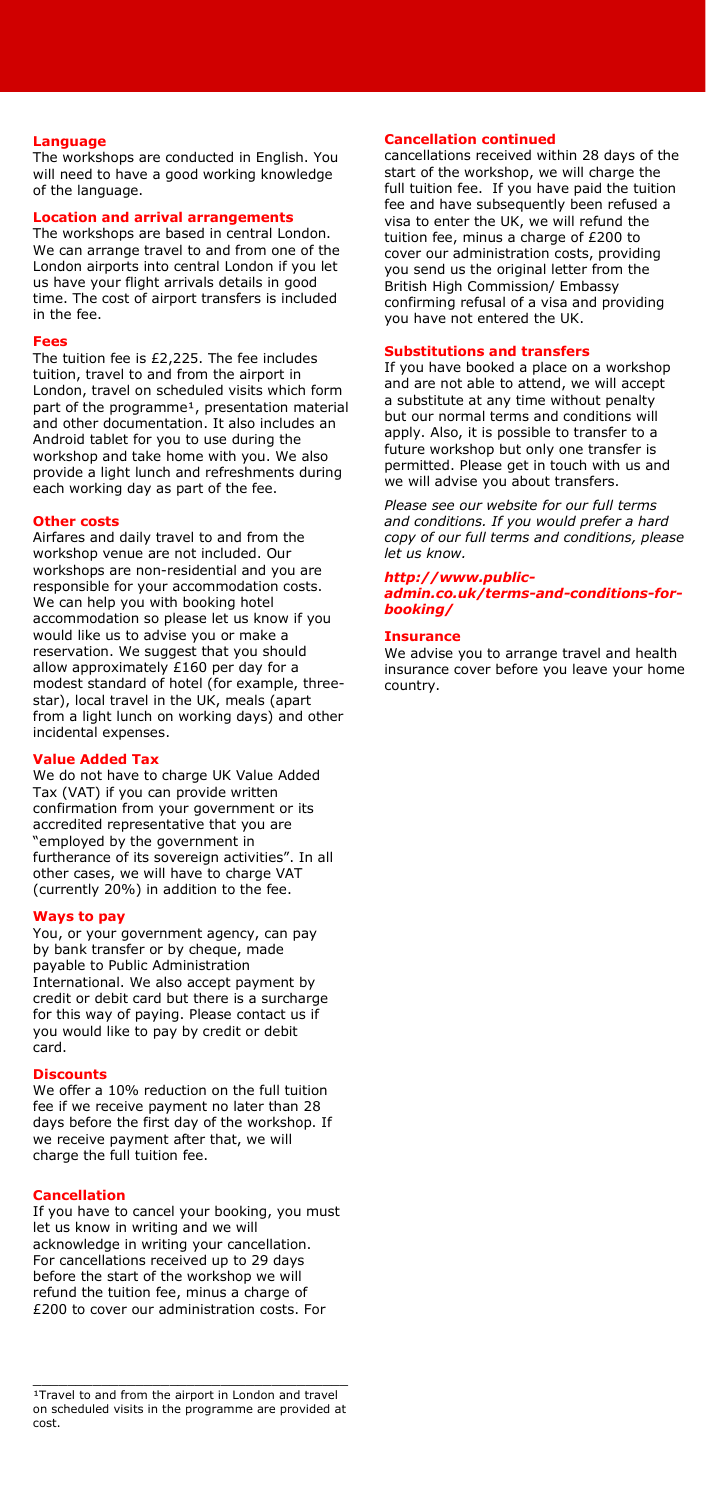## **Language**

The workshops are conducted in English. You will need to have a good working knowledge of the language.

## **Location and arrival arrangements**

The workshops are based in central London. We can arrange travel to and from one of the London airports into central London if you let us have your flight arrivals details in good time. The cost of airport transfers is included in the fee.

#### **Fees**

The tuition fee is £2,225. The fee includes tuition, travel to and from the airport in London, travel on scheduled visits which form part of the programme<sup>1</sup>, presentation material and other documentation. It also includes an Android tablet for you to use during the workshop and take home with you. We also provide a light lunch and refreshments during each working day as part of the fee.

#### **Other costs**

Airfares and daily travel to and from the workshop venue are not included. Our workshops are non-residential and you are responsible for your accommodation costs. We can help you with booking hotel accommodation so please let us know if you would like us to advise you or make a reservation. We suggest that you should allow approximately £160 per day for a modest standard of hotel (for example, threestar), local travel in the UK, meals (apart from a light lunch on working days) and other incidental expenses.

## **Value Added Tax**

We do not have to charge UK Value Added Tax (VAT) if you can provide written confirmation from your government or its accredited representative that you are "employed by the government in furtherance of its sovereign activities". In all other cases, we will have to charge VAT (currently 20%) in addition to the fee.

#### **Ways to pay**

You, or your government agency, can pay by bank transfer or by cheque, made payable to Public Administration International. We also accept payment by credit or debit card but there is a surcharge for this way of paying. Please contact us if you would like to pay by credit or debit card.

#### **Discounts**

We offer a 10% reduction on the full tuition fee if we receive payment no later than 28 days before the first day of the workshop. If we receive payment after that, we will charge the full tuition fee.

#### **Cancellation**

If you have to cancel your booking, you must let us know in writing and we will acknowledge in writing your cancellation. For cancellations received up to 29 days before the start of the workshop we will refund the tuition fee, minus a charge of £200 to cover our administration costs. For

## **Cancellation continued**

cancellations received within 28 days of the start of the workshop, we will charge the full tuition fee. If you have paid the tuition fee and have subsequently been refused a visa to enter the UK, we will refund the tuition fee, minus a charge of £200 to cover our administration costs, providing you send us the original letter from the British High Commission/ Embassy confirming refusal of a visa and providing you have not entered the UK.

## **Substitutions and transfers**

If you have booked a place on a workshop and are not able to attend, we will accept a substitute at any time without penalty but our normal terms and conditions will apply. Also, it is possible to transfer to a future workshop but only one transfer is permitted. Please get in touch with us and we will advise you about transfers.

*Please see our website for our full terms and conditions. If you would prefer a hard copy of our full terms and conditions, please let us know.* 

#### *[http://www.public-](http://www.public-admin.co.uk/terms-and-conditions-for-booking/)*

*[admin.co.uk/terms-and-conditions-for](http://www.public-admin.co.uk/terms-and-conditions-for-booking/)[booking/](http://www.public-admin.co.uk/terms-and-conditions-for-booking/)*

#### **Insurance**

We advise you to arrange travel and health insurance cover before you leave your home country.

<sup>&</sup>lt;sup>1</sup>Travel to and from the airport in London and travel on scheduled visits in the programme are provided at cost.